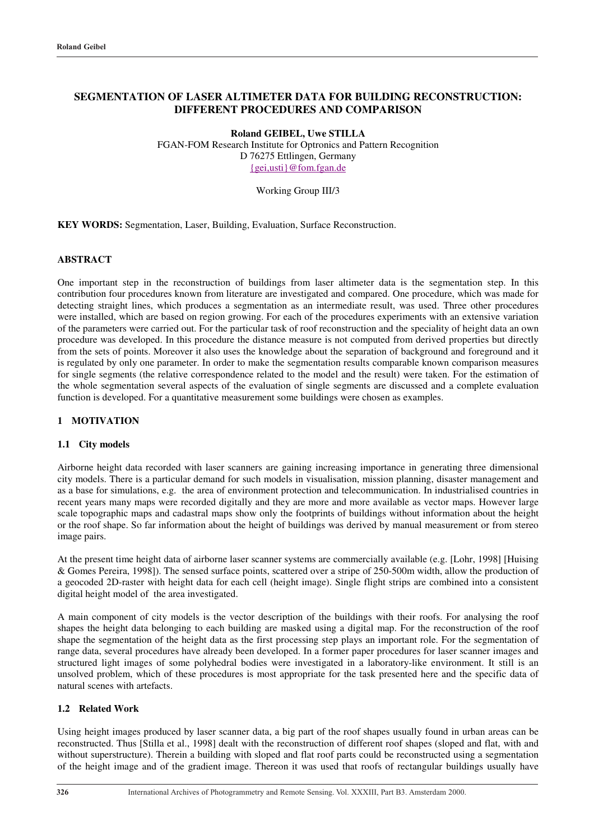# **SEGMENTATION OF LASER ALTIMETER DATA FOR BUILDING RECONSTRUCTION: DIFFERENT PROCEDURES AND COMPARISON**

**Roland GEIBEL, Uwe STILLA**

FGAN-FOM Research Institute for Optronics and Pattern Recognition D 76275 Ettlingen, Germany {gei,usti}@fom.fgan.de

### Working Group III/3

**KEY WORDS:** Segmentation, Laser, Building, Evaluation, Surface Reconstruction.

# **ABSTRACT**

One important step in the reconstruction of buildings from laser altimeter data is the segmentation step. In this contribution four procedures known from literature are investigated and compared. One procedure, which was made for detecting straight lines, which produces a segmentation as an intermediate result, was used. Three other procedures were installed, which are based on region growing. For each of the procedures experiments with an extensive variation of the parameters were carried out. For the particular task of roof reconstruction and the speciality of height data an own procedure was developed. In this procedure the distance measure is not computed from derived properties but directly from the sets of points. Moreover it also uses the knowledge about the separation of background and foreground and it is regulated by only one parameter. In order to make the segmentation results comparable known comparison measures for single segments (the relative correspondence related to the model and the result) were taken. For the estimation of the whole segmentation several aspects of the evaluation of single segments are discussed and a complete evaluation function is developed. For a quantitative measurement some buildings were chosen as examples.

### **1 MOTIVATION**

#### **1.1 City models**

Airborne height data recorded with laser scanners are gaining increasing importance in generating three dimensional city models. There is a particular demand for such models in visualisation, mission planning, disaster management and as a base for simulations, e.g. the area of environment protection and telecommunication. In industrialised countries in recent years many maps were recorded digitally and they are more and more available as vector maps. However large scale topographic maps and cadastral maps show only the footprints of buildings without information about the height or the roof shape. So far information about the height of buildings was derived by manual measurement or from stereo image pairs.

At the present time height data of airborne laser scanner systems are commercially available (e.g. [Lohr, 1998] [Huising & Gomes Pereira, 1998]). The sensed surface points, scattered over a stripe of 250-500m width, allow the production of a geocoded 2D-raster with height data for each cell (height image). Single flight strips are combined into a consistent digital height model of the area investigated.

A main component of city models is the vector description of the buildings with their roofs. For analysing the roof shapes the height data belonging to each building are masked using a digital map. For the reconstruction of the roof shape the segmentation of the height data as the first processing step plays an important role. For the segmentation of range data, several procedures have already been developed. In a former paper procedures for laser scanner images and structured light images of some polyhedral bodies were investigated in a laboratory-like environment. It still is an unsolved problem, which of these procedures is most appropriate for the task presented here and the specific data of natural scenes with artefacts.

### **1.2 Related Work**

Using height images produced by laser scanner data, a big part of the roof shapes usually found in urban areas can be reconstructed. Thus [Stilla et al., 1998] dealt with the reconstruction of different roof shapes (sloped and flat, with and without superstructure). Therein a building with sloped and flat roof parts could be reconstructed using a segmentation of the height image and of the gradient image. Thereon it was used that roofs of rectangular buildings usually have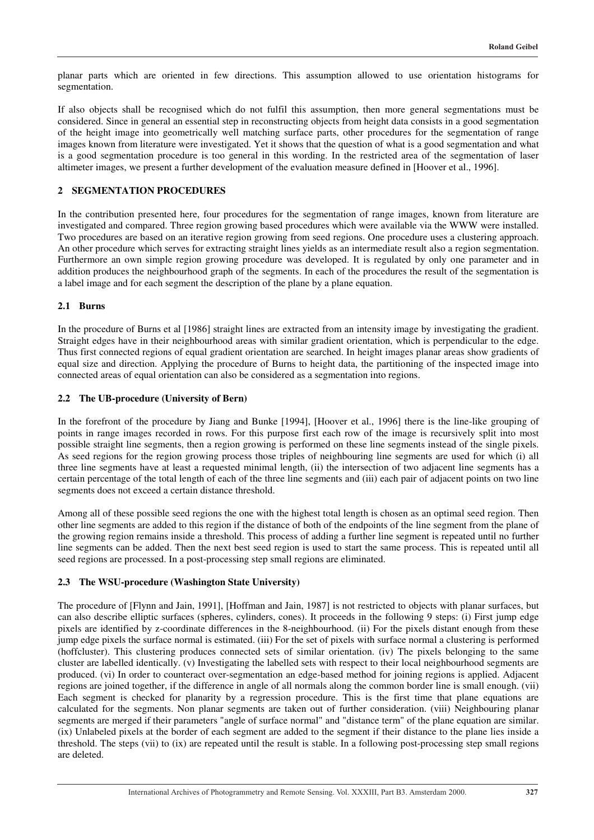planar parts which are oriented in few directions. This assumption allowed to use orientation histograms for segmentation.

If also objects shall be recognised which do not fulfil this assumption, then more general segmentations must be considered. Since in general an essential step in reconstructing objects from height data consists in a good segmentation of the height image into geometrically well matching surface parts, other procedures for the segmentation of range images known from literature were investigated. Yet it shows that the question of what is a good segmentation and what is a good segmentation procedure is too general in this wording. In the restricted area of the segmentation of laser altimeter images, we present a further development of the evaluation measure defined in [Hoover et al., 1996].

# **2 SEGMENTATION PROCEDURES**

In the contribution presented here, four procedures for the segmentation of range images, known from literature are investigated and compared. Three region growing based procedures which were available via the WWW were installed. Two procedures are based on an iterative region growing from seed regions. One procedure uses a clustering approach. An other procedure which serves for extracting straight lines yields as an intermediate result also a region segmentation. Furthermore an own simple region growing procedure was developed. It is regulated by only one parameter and in addition produces the neighbourhood graph of the segments. In each of the procedures the result of the segmentation is a label image and for each segment the description of the plane by a plane equation.

### **2.1 Burns**

In the procedure of Burns et al [1986] straight lines are extracted from an intensity image by investigating the gradient. Straight edges have in their neighbourhood areas with similar gradient orientation, which is perpendicular to the edge. Thus first connected regions of equal gradient orientation are searched. In height images planar areas show gradients of equal size and direction. Applying the procedure of Burns to height data, the partitioning of the inspected image into connected areas of equal orientation can also be considered as a segmentation into regions.

### **2.2 The UB-procedure (University of Bern)**

In the forefront of the procedure by Jiang and Bunke [1994], [Hoover et al., 1996] there is the line-like grouping of points in range images recorded in rows. For this purpose first each row of the image is recursively split into most possible straight line segments, then a region growing is performed on these line segments instead of the single pixels. As seed regions for the region growing process those triples of neighbouring line segments are used for which (i) all three line segments have at least a requested minimal length, (ii) the intersection of two adjacent line segments has a certain percentage of the total length of each of the three line segments and (iii) each pair of adjacent points on two line segments does not exceed a certain distance threshold.

Among all of these possible seed regions the one with the highest total length is chosen as an optimal seed region. Then other line segments are added to this region if the distance of both of the endpoints of the line segment from the plane of the growing region remains inside a threshold. This process of adding a further line segment is repeated until no further line segments can be added. Then the next best seed region is used to start the same process. This is repeated until all seed regions are processed. In a post-processing step small regions are eliminated.

# **2.3 The WSU-procedure (Washington State University)**

The procedure of [Flynn and Jain, 1991], [Hoffman and Jain, 1987] is not restricted to objects with planar surfaces, but can also describe elliptic surfaces (spheres, cylinders, cones). It proceeds in the following 9 steps: (i) First jump edge pixels are identified by z-coordinate differences in the 8-neighbourhood. (ii) For the pixels distant enough from these jump edge pixels the surface normal is estimated. (iii) For the set of pixels with surface normal a clustering is performed (hoffcluster). This clustering produces connected sets of similar orientation. (iv) The pixels belonging to the same cluster are labelled identically. (v) Investigating the labelled sets with respect to their local neighbourhood segments are produced. (vi) In order to counteract over-segmentation an edge-based method for joining regions is applied. Adjacent regions are joined together, if the difference in angle of all normals along the common border line is small enough. (vii) Each segment is checked for planarity by a regression procedure. This is the first time that plane equations are calculated for the segments. Non planar segments are taken out of further consideration. (viii) Neighbouring planar segments are merged if their parameters "angle of surface normal" and "distance term" of the plane equation are similar. (ix) Unlabeled pixels at the border of each segment are added to the segment if their distance to the plane lies inside a threshold. The steps (vii) to (ix) are repeated until the result is stable. In a following post-processing step small regions are deleted.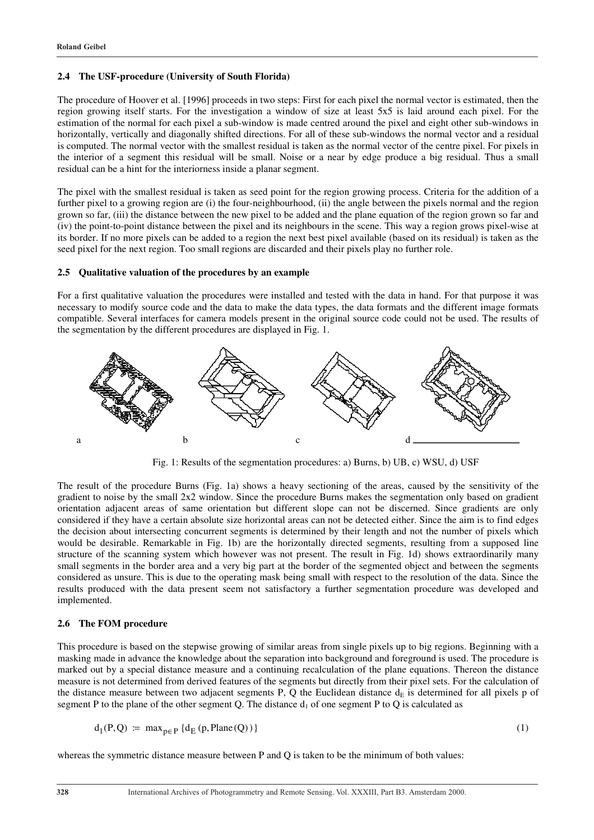#### **2.4 The USF-procedure (University of South Florida)**

The procedure of Hoover et al. [1996] proceeds in two steps: First for each pixel the normal vector is estimated, then the region growing itself starts. For the investigation a window of size at least 5x5 is laid around each pixel. For the estimation of the normal for each pixel a sub-window is made centred around the pixel and eight other sub-windows in horizontally, vertically and diagonally shifted directions. For all of these sub-windows the normal vector and a residual is computed. The normal vector with the smallest residual is taken as the normal vector of the centre pixel. For pixels in the interior of a segment this residual will be small. Noise or a near by edge produce a big residual. Thus a small residual can be a hint for the interiorness inside a planar segment.

The pixel with the smallest residual is taken as seed point for the region growing process. Criteria for the addition of a further pixel to a growing region are (i) the four-neighbourhood, (ii) the angle between the pixels normal and the region grown so far, (iii) the distance between the new pixel to be added and the plane equation of the region grown so far and (iv) the point-to-point distance between the pixel and its neighbours in the scene. This way a region grows pixel-wise at its border. If no more pixels can be added to a region the next best pixel available (based on its residual) is taken as the seed pixel for the next region. Too small regions are discarded and their pixels play no further role.

## **2.5 Qualitative valuation of the procedures by an example**

For a first qualitative valuation the procedures were installed and tested with the data in hand. For that purpose it was necessary to modify source code and the data to make the data types, the data formats and the different image formats compatible. Several interfaces for camera models present in the original source code could not be used. The results of the segmentation by the different procedures are displayed in Fig. 1.



Fig. 1: Results of the segmentation procedures: a) Burns, b) UB, c) WSU, d) USF

The result of the procedure Burns (Fig. 1a) shows a heavy sectioning of the areas, caused by the sensitivity of the gradient to noise by the small 2x2 window. Since the procedure Burns makes the segmentation only based on gradient orientation adjacent areas of same orientation but different slope can not be discerned. Since gradients are only considered if they have a certain absolute size horizontal areas can not be detected either. Since the aim is to find edges the decision about intersecting concurrent segments is determined by their length and not the number of pixels which would be desirable. Remarkable in Fig. 1b) are the horizontally directed segments, resulting from a supposed line structure of the scanning system which however was not present. The result in Fig. 1d) shows extraordinarily many small segments in the border area and a very big part at the border of the segmented object and between the segments considered as unsure. This is due to the operating mask being small with respect to the resolution of the data. Since the results produced with the data present seem not satisfactory a further segmentation procedure was developed and implemented.

#### **2.6 The FOM procedure**

This procedure is based on the stepwise growing of similar areas from single pixels up to big regions. Beginning with a masking made in advance the knowledge about the separation into background and foreground is used. The procedure is marked out by a special distance measure and a continuing recalculation of the plane equations. Thereon the distance measure is not determined from derived features of the segments but directly from their pixel sets. For the calculation of the distance measure between two adjacent segments P, Q the Euclidean distance  $d_E$  is determined for all pixels p of segment P to the plane of the other segment Q. The distance  $d_1$  of one segment P to Q is calculated as

$$
d_1(P,Q) := \max_{p \in P} \{d_E(p, Plane(Q))\}
$$
 (1)

whereas the symmetric distance measure between P and Q is taken to be the minimum of both values: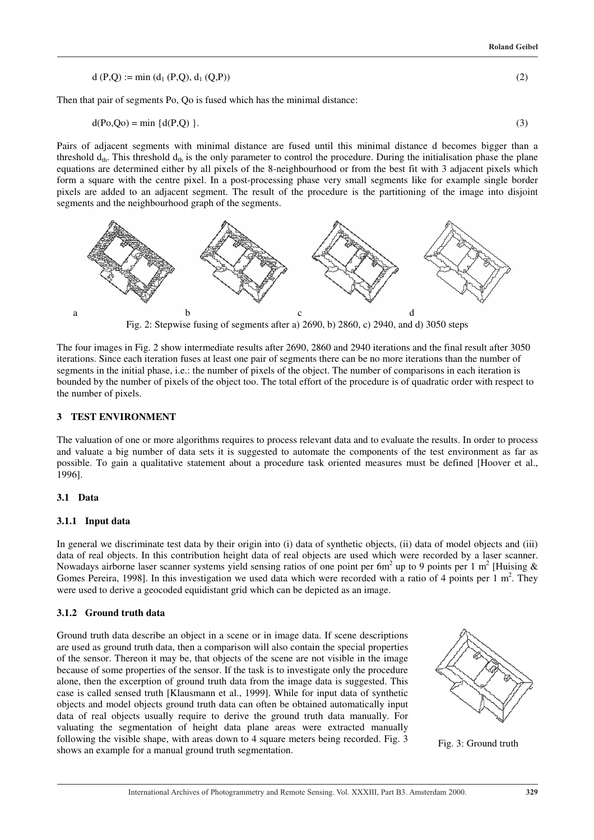$$
d(P,Q) := min(d_1(P,Q), d_1(Q,P))
$$
\n(2)

Then that pair of segments Po, Qo is fused which has the minimal distance:

$$
d(Po,Qo) = min \{d(P,Q)\}.
$$
\n(3)

Pairs of adjacent segments with minimal distance are fused until this minimal distance d becomes bigger than a threshold  $d_{th}$ . This threshold  $d_{th}$  is the only parameter to control the procedure. During the initialisation phase the plane equations are determined either by all pixels of the 8-neighbourhood or from the best fit with 3 adjacent pixels which form a square with the centre pixel. In a post-processing phase very small segments like for example single border pixels are added to an adjacent segment. The result of the procedure is the partitioning of the image into disjoint segments and the neighbourhood graph of the segments.



Fig. 2: Stepwise fusing of segments after a) 2690, b) 2860, c) 2940, and d) 3050 steps

The four images in Fig. 2 show intermediate results after 2690, 2860 and 2940 iterations and the final result after 3050 iterations. Since each iteration fuses at least one pair of segments there can be no more iterations than the number of segments in the initial phase, i.e.: the number of pixels of the object. The number of comparisons in each iteration is bounded by the number of pixels of the object too. The total effort of the procedure is of quadratic order with respect to the number of pixels.

#### **3 TEST ENVIRONMENT**

The valuation of one or more algorithms requires to process relevant data and to evaluate the results. In order to process and valuate a big number of data sets it is suggested to automate the components of the test environment as far as possible. To gain a qualitative statement about a procedure task oriented measures must be defined [Hoover et al., 1996].

#### **3.1 Data**

### **3.1.1 Input data**

In general we discriminate test data by their origin into (i) data of synthetic objects, (ii) data of model objects and (iii) data of real objects. In this contribution height data of real objects are used which were recorded by a laser scanner. Nowadays airborne laser scanner systems yield sensing ratios of one point per 6m<sup>2</sup> up to 9 points per 1 m<sup>2</sup> [Huising & Gomes Pereira, 1998]. In this investigation we used data which were recorded with a ratio of 4 points per 1  $m<sup>2</sup>$ . They were used to derive a geocoded equidistant grid which can be depicted as an image.

#### **3.1.2 Ground truth data**

Ground truth data describe an object in a scene or in image data. If scene descriptions are used as ground truth data, then a comparison will also contain the special properties of the sensor. Thereon it may be, that objects of the scene are not visible in the image because of some properties of the sensor. If the task is to investigate only the procedure alone, then the excerption of ground truth data from the image data is suggested. This case is called sensed truth [Klausmann et al., 1999]. While for input data of synthetic objects and model objects ground truth data can often be obtained automatically input data of real objects usually require to derive the ground truth data manually. For valuating the segmentation of height data plane areas were extracted manually following the visible shape, with areas down to 4 square meters being recorded. Fig. 3 Following the visible shape, with areas down to 4 square meters being recorded. Fig. 3: Fig. 3: Ground truth shows an example for a manual ground truth segmentation.



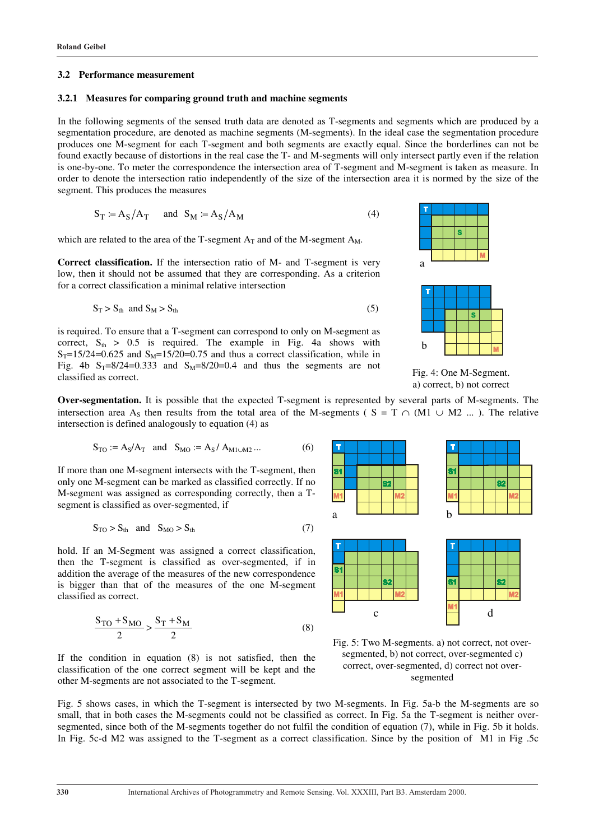#### **3.2 Performance measurement**

### **3.2.1 Measures for comparing ground truth and machine segments**

In the following segments of the sensed truth data are denoted as T-segments and segments which are produced by a segmentation procedure, are denoted as machine segments (M-segments). In the ideal case the segmentation procedure produces one M-segment for each T-segment and both segments are exactly equal. Since the borderlines can not be found exactly because of distortions in the real case the T- and M-segments will only intersect partly even if the relation is one-by-one. To meter the correspondence the intersection area of T-segment and M-segment is taken as measure. In order to denote the intersection ratio independently of the size of the intersection area it is normed by the size of the segment. This produces the measures

$$
S_T := A_S / A_T \quad \text{and} \quad S_M := A_S / A_M \tag{4}
$$

which are related to the area of the T-segment  $A_T$  and of the M-segment  $A_M$ .

**Correct classification.** If the intersection ratio of M- and T-segment is very low, then it should not be assumed that they are corresponding. As a criterion for a correct classification a minimal relative intersection

$$
S_T > S_{th} \text{ and } S_M > S_{th} \tag{5}
$$

is required. To ensure that a T-segment can correspond to only on M-segment as correct,  $S_{th} > 0.5$  is required. The example in Fig. 4a shows with  $S_T=15/24=0.625$  and  $S_M=15/20=0.75$  and thus a correct classification, while in Fig. 4b  $S_T=8/24=0.333$  and  $S_M=8/20=0.4$  and thus the segments are not classified as correct.





Fig. 4: One M-Segment. a) correct, b) not correct

**Over-segmentation.** It is possible that the expected T-segment is represented by several parts of M-segments. The intersection area A<sub>S</sub> then results from the total area of the M-segments ( S = T  $\cap$  (M1  $\cup$  M2 ... ). The relative intersection is defined analogously to equation (4) as

$$
S_{TO} := A_S/A_T
$$
 and  $S_{MO} := A_S/A_{M1\cup M2}...$  (6)

If more than one M-segment intersects with the T-segment, then only one M-segment can be marked as classified correctly. If no M-segment was assigned as corresponding correctly, then a Tsegment is classified as over-segmented, if

$$
S_{\text{TO}} > S_{\text{th}} \quad \text{and} \quad S_{\text{MO}} > S_{\text{th}} \tag{7}
$$

hold. If an M-Segment was assigned a correct classification, then the T-segment is classified as over-segmented, if in addition the average of the measures of the new correspondence is bigger than that of the measures of the one M-segment classified as correct.

$$
\frac{S_{\text{TO}} + S_{\text{MO}}}{2} > \frac{S_{\text{T}} + S_{\text{M}}}{2} \tag{8}
$$

If the condition in equation (8) is not satisfied, then the classification of the one correct segment will be kept and the other M-segments are not associated to the T-segment.



Fig. 5: Two M-segments. a) not correct, not oversegmented, b) not correct, over-segmented c) correct, over-segmented, d) correct not oversegmented

Fig. 5 shows cases, in which the T-segment is intersected by two M-segments. In Fig. 5a-b the M-segments are so small, that in both cases the M-segments could not be classified as correct. In Fig. 5a the T-segment is neither oversegmented, since both of the M-segments together do not fulfil the condition of equation (7), while in Fig. 5b it holds. In Fig. 5c-d M2 was assigned to the T-segment as a correct classification. Since by the position of M1 in Fig .5c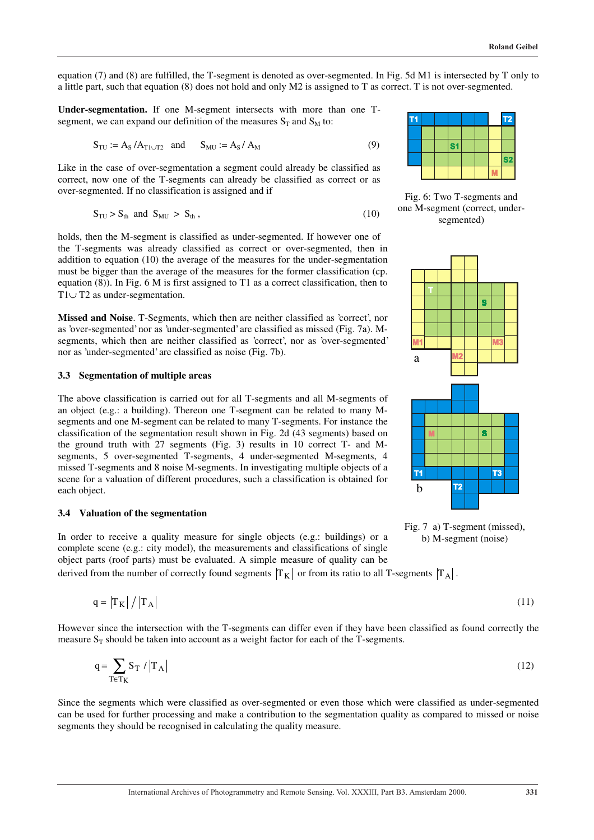equation (7) and (8) are fulfilled, the T-segment is denoted as over-segmented. In Fig. 5d M1 is intersected by T only to a little part, such that equation (8) does not hold and only M2 is assigned to T as correct. T is not over-segmented.

**Under-segmentation.** If one M-segment intersects with more than one Tsegment, we can expand our definition of the measures  $S_T$  and  $S_M$  to:

$$
S_{\text{TU}} := A_{\text{S}} / A_{\text{T1} \cup \text{T2}} \quad \text{and} \qquad S_{\text{MU}} := A_{\text{S}} / A_{\text{M}}
$$
(9)

Like in the case of over-segmentation a segment could already be classified as correct, now one of the T-segments can already be classified as correct or as over-segmented. If no classification is assigned and if

$$
S_{\text{TU}} > S_{\text{th}} \text{ and } S_{\text{MU}} > S_{\text{th}}, \tag{10}
$$

holds, then the M-segment is classified as under-segmented. If however one of the T-segments was already classified as correct or over-segmented, then in addition to equation (10) the average of the measures for the under-segmentation must be bigger than the average of the measures for the former classification (cp. equation (8)). In Fig. 6 M is first assigned to T1 as a correct classification, then to T1∪ T2 as under-segmentation.

**Missed and Noise**. T-Segments, which then are neither classified as 'correct', nor as 'over-segmented' nor as 'under-segmented' are classified as missed (Fig. 7a). Msegments, which then are neither classified as 'correct', nor as 'over-segmented' nor as 'under-segmented' are classified as noise (Fig. 7b).

# **3.3 Segmentation of multiple areas**

The above classification is carried out for all T-segments and all M-segments of an object (e.g.: a building). Thereon one T-segment can be related to many Msegments and one M-segment can be related to many T-segments. For instance the classification of the segmentation result shown in Fig. 2d (43 segments) based on the ground truth with 27 segments (Fig. 3) results in 10 correct T- and Msegments, 5 over-segmented T-segments, 4 under-segmented M-segments, 4 missed T-segments and 8 noise M-segments. In investigating multiple objects of a scene for a valuation of different procedures, such a classification is obtained for each object.

#### **3.4 Valuation of the segmentation**

In order to receive a quality measure for single objects (e.g.: buildings) or a complete scene (e.g.: city model), the measurements and classifications of single object parts (roof parts) must be evaluated. A simple measure of quality can be

derived from the number of correctly found segments  $T_K$  or from its ratio to all T-segments  $T_A$ .

$$
q = |T_K| / |T_A| \tag{11}
$$

However since the intersection with the T-segments can differ even if they have been classified as found correctly the measure  $S_T$  should be taken into account as a weight factor for each of the T-segments.

$$
q = \sum_{T \in T_K} S_T / |T_A| \tag{12}
$$

Since the segments which were classified as over-segmented or even those which were classified as under-segmented can be used for further processing and make a contribution to the segmentation quality as compared to missed or noise segments they should be recognised in calculating the quality measure.



Fig. 6: Two T-segments and one M-segment (correct, undersegmented)



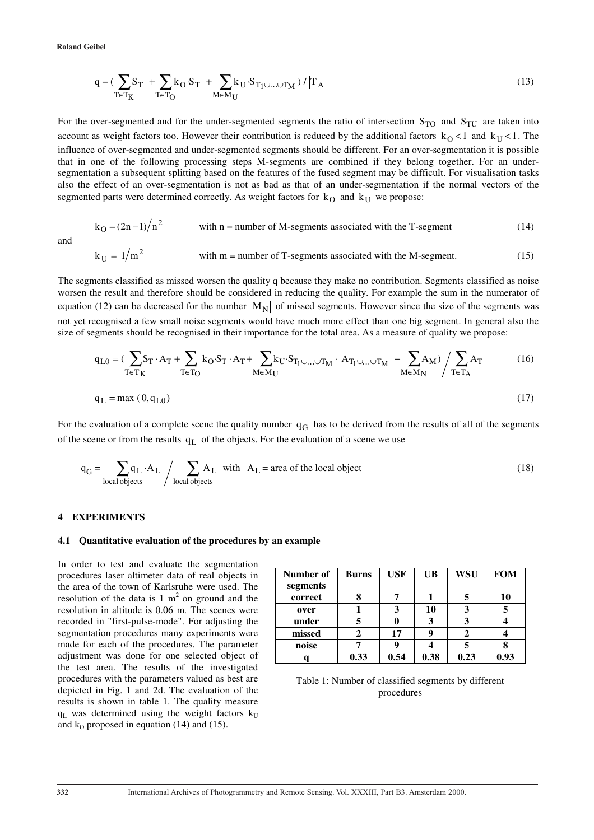and

$$
q = \left(\sum_{T \in T_K} S_T + \sum_{T \in T_O} k_O \cdot S_T + \sum_{M \in M_U} k_U \cdot S_{T_1 \cup \ldots \cup T_M}\right) / \left|T_A\right| \tag{13}
$$

For the over-segmented and for the under-segmented segments the ratio of intersection  $S_{TO}$  and  $S_{TU}$  are taken into account as weight factors too. However their contribution is reduced by the additional factors  $k_0 < 1$  and  $k_0 < 1$ . The influence of over-segmented and under-segmented segments should be different. For an over-segmentation it is possible that in one of the following processing steps M-segments are combined if they belong together. For an undersegmentation a subsequent splitting based on the features of the fused segment may be difficult. For visualisation tasks also the effect of an over-segmentation is not as bad as that of an under-segmentation if the normal vectors of the segmented parts were determined correctly. As weight factors for  $k<sub>O</sub>$  and  $k<sub>U</sub>$  we propose:

$$
k_O = (2n-1)/n^2
$$
 with n = number of M-segments associated with the T-segment (14)

$$
k_U = 1/m^2
$$
 with m = number of T-segments associated with the M-segment. (15)

The segments classified as missed worsen the quality q because they make no contribution. Segments classified as noise worsen the result and therefore should be considered in reducing the quality. For example the sum in the numerator of equation (12) can be decreased for the number  $|M_N|$  of missed segments. However since the size of the segments was not yet recognised a few small noise segments would have much more effect than one big segment. In general also the size of segments should be recognised in their importance for the total area. As a measure of quality we propose:

$$
q_{L0} = \left(\sum_{T \in T_K} S_T \cdot A_T + \sum_{T \in T_O} k_O \cdot S_T \cdot A_T + \sum_{M \in M_U} k_U \cdot S_{T_1 \cup \ldots \cup T_M} \cdot A_{T_1 \cup \ldots \cup T_M} - \sum_{M \in M_N} A_M\right) / \sum_{T \in T_A} A_T
$$
(16)  

$$
q_L = \max(0, q_{L0})
$$
(17)

For the evaluation of a complete scene the quality number  $q_G$  has to be derived from the results of all of the segments of the scene or from the results  $q_L$  of the objects. For the evaluation of a scene we use

$$
q_G = \sum_{\text{local objects}} q_L \cdot A_L / \sum_{\text{local objects}} A_L \quad \text{with} \quad A_L = \text{area of the local object}
$$
 (18)

#### **4 EXPERIMENTS**

#### **4.1 Quantitative evaluation of the procedures by an example**

In order to test and evaluate the segmentation procedures laser altimeter data of real objects in the area of the town of Karlsruhe were used. The resolution of the data is  $1 \text{ m}^2$  on ground and the resolution in altitude is 0.06 m. The scenes were recorded in "first-pulse-mode". For adjusting the segmentation procedures many experiments were made for each of the procedures. The parameter adjustment was done for one selected object of the test area. The results of the investigated procedures with the parameters valued as best are depicted in Fig. 1 and 2d. The evaluation of the results is shown in table 1. The quality measure  $q_L$  was determined using the weight factors  $k_U$ and  $k_0$  proposed in equation (14) and (15).

| Number of<br>segments | <b>Burns</b> | <b>USF</b> | <b>UB</b> | <b>WSU</b> | <b>FOM</b> |
|-----------------------|--------------|------------|-----------|------------|------------|
| correct               |              |            |           |            | 10         |
| over                  |              | 3          | 10        |            | 5          |
| under                 |              |            | 3         |            |            |
| missed                |              | 17         | 9         |            |            |
| noise                 |              |            |           |            |            |
|                       | 0.33         | 0.54       | 0.38      | 0.23       | 0.93       |

Table 1: Number of classified segments by different procedures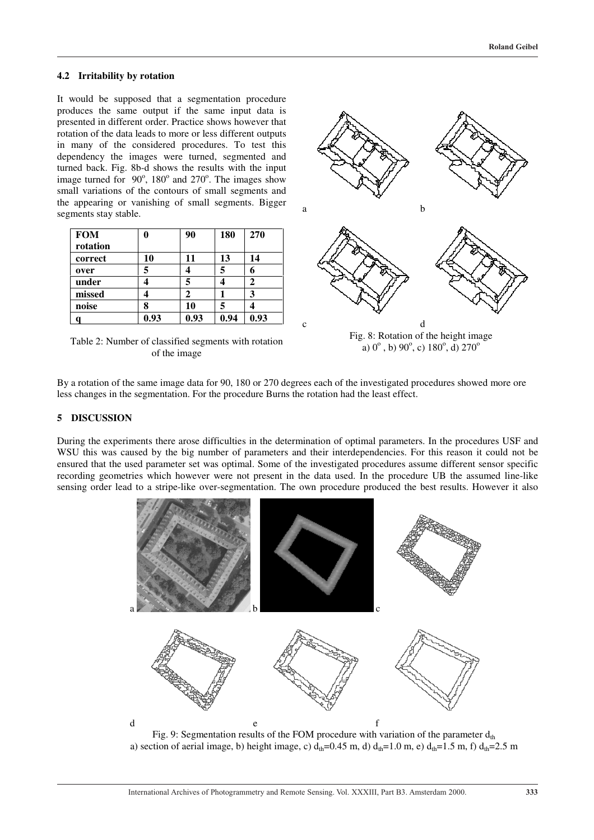# **4.2 Irritability by rotation**

It would be supposed that a segmentation procedure produces the same output if the same input data is presented in different order. Practice shows however that rotation of the data leads to more or less different outputs in many of the considered procedures. To test this dependency the images were turned, segmented and turned back. Fig. 8b-d shows the results with the input image turned for  $90^\circ$ ,  $180^\circ$  and  $270^\circ$ . The images show small variations of the contours of small segments and the appearing or vanishing of small segments. Bigger segments stay stable.

| <b>FOM</b> |      | 90   | 180  | 270  |
|------------|------|------|------|------|
| rotation   |      |      |      |      |
| correct    | 10   | 11   | 13   | 14   |
| over       | 5    |      | 5    | 6    |
| under      |      |      |      |      |
| missed     |      | 7    |      | 3    |
| noise      |      | 10   | 5    |      |
|            | 0.93 | 0.93 | 0.94 | 0.93 |

Table 2: Number of classified segments with rotation of the image



Fig. 8: Rotation of the height image a)  $0^{\circ}$ , b)  $90^{\circ}$ , c)  $180^{\circ}$ , d)  $270^{\circ}$ 

By a rotation of the same image data for 90, 180 or 270 degrees each of the investigated procedures showed more ore less changes in the segmentation. For the procedure Burns the rotation had the least effect.

### **5 DISCUSSION**

During the experiments there arose difficulties in the determination of optimal parameters. In the procedures USF and WSU this was caused by the big number of parameters and their interdependencies. For this reason it could not be ensured that the used parameter set was optimal. Some of the investigated procedures assume different sensor specific recording geometries which however were not present in the data used. In the procedure UB the assumed line-like sensing order lead to a stripe-like over-segmentation. The own procedure produced the best results. However it also



Fig. 9: Segmentation results of the FOM procedure with variation of the parameter  $d_{th}$ a) section of aerial image, b) height image, c)  $d_{th}=0.45$  m, d)  $d_{th}=1.0$  m, e)  $d_{th}=1.5$  m, f)  $d_{th}=2.5$  m